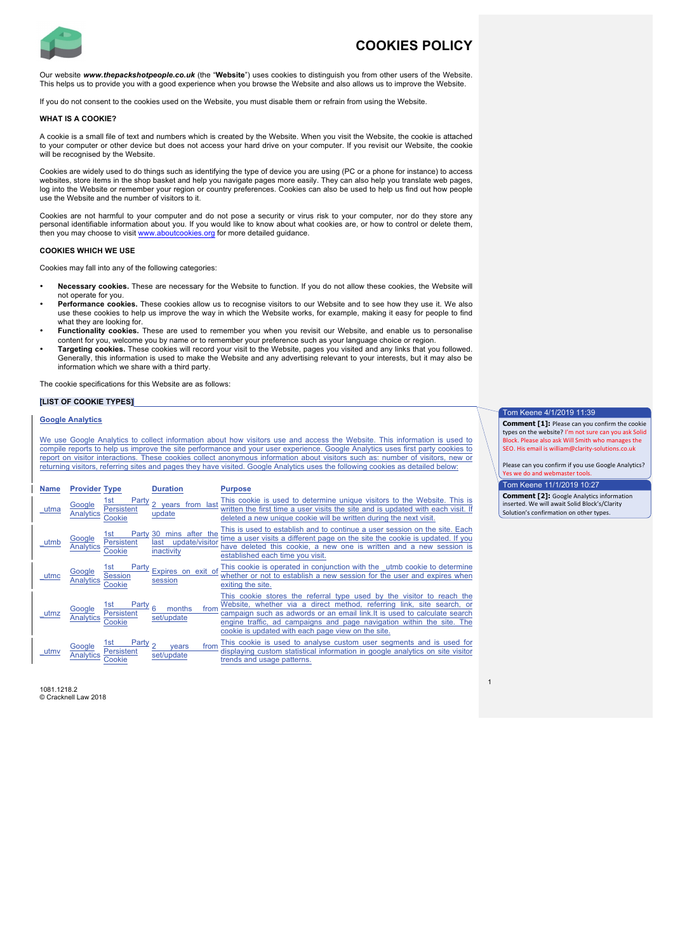

# **COOKIES POLICY**

Our website *www.thepackshotpeople.co.uk* (the "**Website**") uses cookies to distinguish you from other users of the Website. This helps us to provide you with a good experience when you browse the Website and also allows us to improve the Website.

If you do not consent to the cookies used on the Website, you must disable them or refrain from using the Website.

#### **WHAT IS A COOKIE?**

A cookie is a small file of text and numbers which is created by the Website. When you visit the Website, the cookie is attached to your computer or other device but does not access your hard drive on your computer. If you revisit our Website, the cookie will be recognised by the Website.

Cookies are widely used to do things such as identifying the type of device you are using (PC or a phone for instance) to access websites, store items in the shop basket and help you navigate pages more easily. They can also help you translate web pages, log into the Website or remember your region or country preferences. Cookies can also be used to help us find out how people use the Website and the number of visitors to it.

Cookies are not harmful to your computer and do not pose a security or virus risk to your computer, nor do they store any personal identifiable information about you. If you would like to know about what cookies are, or how to control or delete them, then you may choose to visit www.aboutcookies.org for more detailed guidance.

#### **COOKIES WHICH WE USE**

Cookies may fall into any of the following categories:

- **Necessary cookies.** These are necessary for the Website to function. If you do not allow these cookies, the Website will not operate for you.
- **Performance cookies.** These cookies allow us to recognise visitors to our Website and to see how they use it. We also use these cookies to help us improve the way in which the Website works, for example, making it easy for people to find what they are looking for.
- **Functionality cookies.** These are used to remember you when you revisit our Website, and enable us to personalise content for you, welcome you by name or to remember your preference such as your language choice or region.
- **Targeting cookies.** These cookies will record your visit to the Website, pages you visited and any links that you followed. Generally, this information is used to make the Website and any advertising relevant to your interests, but it may also be information which we share with a third party.

The cookie specifications for this Website are as follows:

### **[LIST OF COOKIE TYPES]**

# **Google Analytics**

We use Google Analytics to collect information about how visitors use and access the Website. This information is used to compile reports to help us improve the site performance and your user experience. Google Analytics uses first party cookies to report on visitor interactions. These cookies collect anonymous information about visitors such as: number of visitors, new or returning visitors, referring sites and pages they have visited. Google Analytics uses the following cookies as detailed below:

| <b>Name</b> | <b>Provider Type</b>                                                   | <b>Duration</b>                                           | <b>Purpose</b>                                                                                                                                                                                                                                                                                                                                             |
|-------------|------------------------------------------------------------------------|-----------------------------------------------------------|------------------------------------------------------------------------------------------------------------------------------------------------------------------------------------------------------------------------------------------------------------------------------------------------------------------------------------------------------------|
| utma        | 1st<br>Party<br>Google<br>Persistent<br><b>Analytics</b><br>Cookie     | years from last<br>update                                 | This cookie is used to determine unique visitors to the Website. This is<br>written the first time a user visits the site and is updated with each visit. If<br>deleted a new unique cookie will be written during the next visit.                                                                                                                         |
| utmb        | Party<br>1st<br>Google<br>Persistent<br><b>Analytics</b><br>Cookie     | 30 mins after the<br>update/visitor<br>last<br>inactivity | This is used to establish and to continue a user session on the site. Each<br>time a user visits a different page on the site the cookie is updated. If you<br>have deleted this cookie, a new one is written and a new session is<br>established each time you visit.                                                                                     |
| utmc        | Party<br>1st<br>Google<br><b>Session</b><br><b>Analytics</b><br>Jookie | Expires on exit of<br>session                             | This cookie is operated in conjunction with the utmb cookie to determine<br>whether or not to establish a new session for the user and expires when<br>exiting the site.                                                                                                                                                                                   |
| utmz        | Party 6<br>1st<br>Google<br>Persistent<br>Analytics<br>Cookie          | months<br>from<br>set/update                              | This cookie stores the referral type used by the visitor to reach the<br>Website, whether via a direct method, referring link, site search, or<br>campaign such as adwords or an email link. It is used to calculate search<br>engine traffic, ad campaigns and page navigation within the site. The<br>cookie is updated with each page view on the site. |
| utmy        | Party $\sigma$<br>1st<br>Google<br>Persistent                          | from<br>vears<br>set/update                               | This cookie is used to analyse custom user segments and is used for<br>displaying custom statistical information in google analytics on site visitor<br>trends and usage patterns.                                                                                                                                                                         |

1081.1218.2 © Cracknell Law 2018

## Tom Keene 4/1/2019 11:39

**Comment [1]:** Please can you confirm the cookie types on the website? I'm not sure can you ask Solid .<br>ock. Please also ask Will Smith who manages the SEO. His email is william@clarity-solutions.co.uk

Please can you confirm if you use Google Analytics? Yes we do and webmaster

Tom Keene 11/1/2019 10:27

1

**Comment [2]:** Google Analytics information inserted. We will await Solid Block's/Clarity Solution's confirmation on other types.